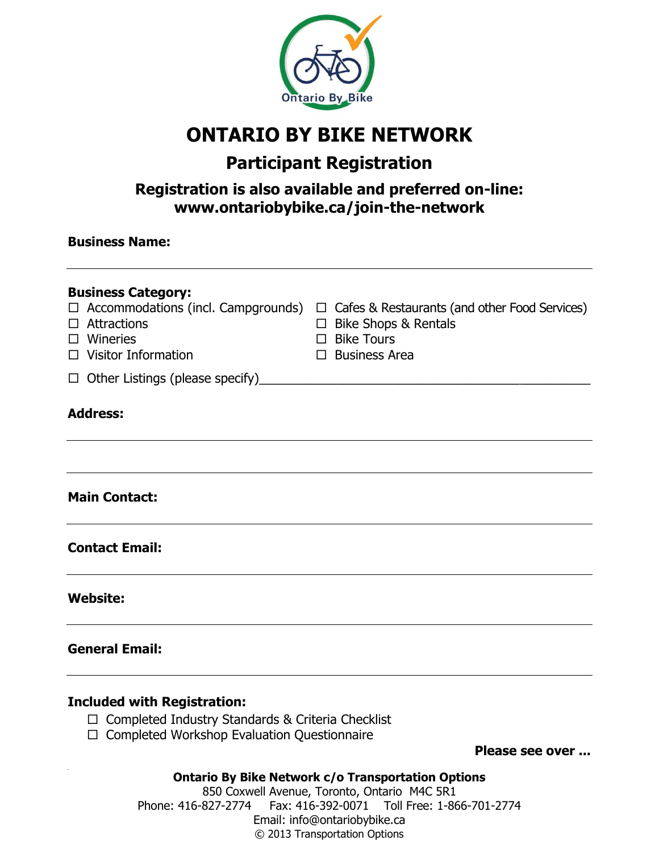

### **ONTARIO BY BIKE NETWORK**

### **Participant Registration**

### **Registration is also available and preferred on-line: www.ontariobybike.ca/join-the-network**

| <b>Business Category:</b><br>$\Box$ Accommodations (incl. Campgrounds)<br>$\Box$ Attractions<br>$\Box$ Wineries<br>$\Box$ Visitor Information | $\Box$ Cafes & Restaurants (and other Food Services)<br>$\Box$ Bike Shops & Rentals<br>$\Box$ Bike Tours<br>$\Box$ Business Area |
|-----------------------------------------------------------------------------------------------------------------------------------------------|----------------------------------------------------------------------------------------------------------------------------------|
| $\Box$ Other Listings (please specify)                                                                                                        |                                                                                                                                  |
| <b>Address:</b>                                                                                                                               |                                                                                                                                  |
|                                                                                                                                               |                                                                                                                                  |
| <b>Main Contact:</b>                                                                                                                          |                                                                                                                                  |
| <b>Contact Email:</b>                                                                                                                         |                                                                                                                                  |
| <b>Website:</b>                                                                                                                               |                                                                                                                                  |
| <b>General Email:</b>                                                                                                                         |                                                                                                                                  |
| <b>Included with Registration:</b><br>$\Box$ Completed Industry Standards & Criteria Checklist                                                |                                                                                                                                  |

 $\Box$  Completed Workshop Evaluation Questionnaire

**Please see over ...**

**Ontario By Bike Network c/o Transportation Options**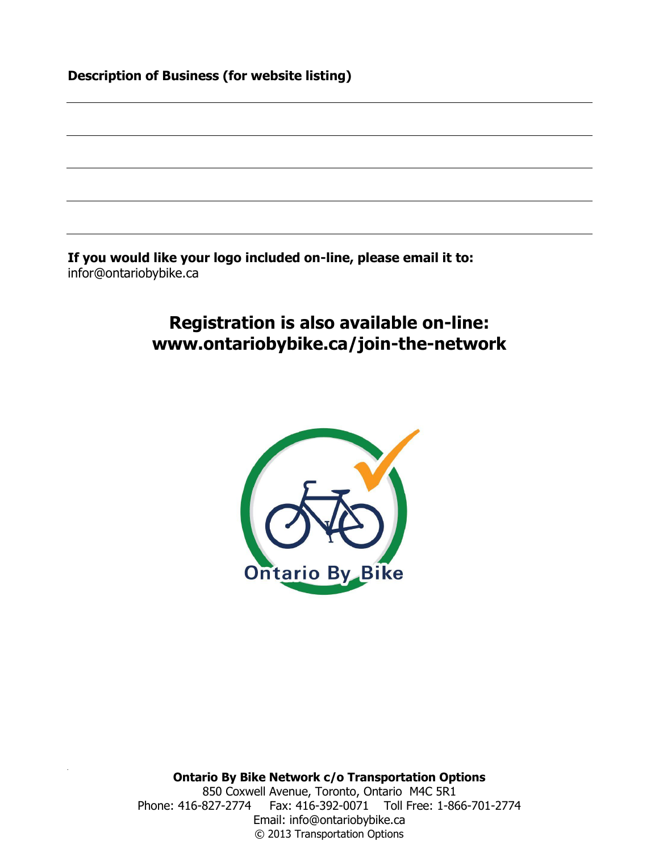|  |  | <b>Description of Business (for website listing)</b> |  |
|--|--|------------------------------------------------------|--|
|--|--|------------------------------------------------------|--|

**If you would like your logo included on-line, please email it to:** infor@ontariobybike.ca

### **Registration is also available on-line: www.ontariobybike.ca/join-the-network**

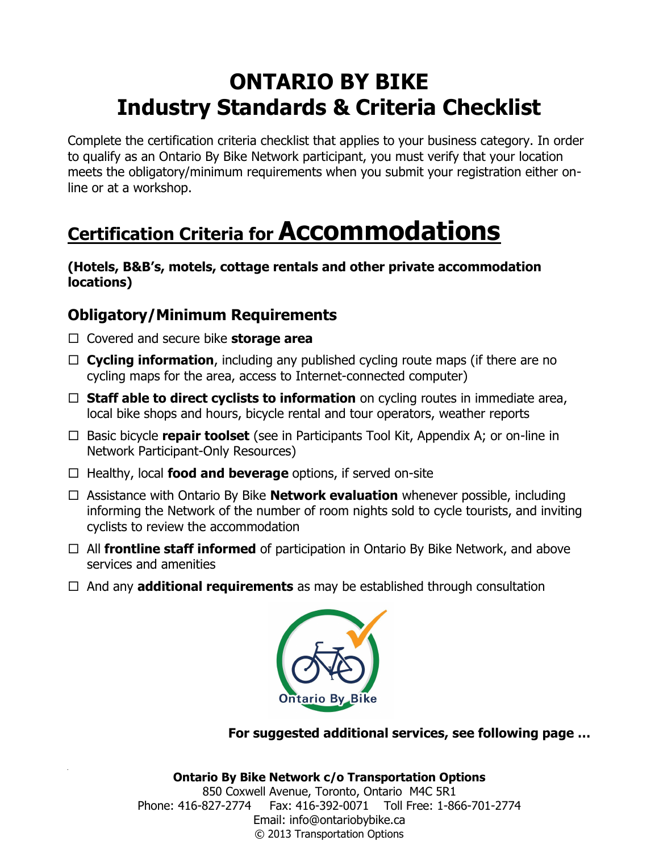Complete the certification criteria checklist that applies to your business category. In order to qualify as an Ontario By Bike Network participant, you must verify that your location meets the obligatory/minimum requirements when you submit your registration either online or at a workshop.

# **Certification Criteria for Accommodations**

**(Hotels, B&B's, motels, cottage rentals and other private accommodation locations)**

### **Obligatory/Minimum Requirements**

- Covered and secure bike **storage area**
- **Cycling information**, including any published cycling route maps (if there are no cycling maps for the area, access to Internet-connected computer)
- □ **Staff able to direct cyclists to information** on cycling routes in immediate area, local bike shops and hours, bicycle rental and tour operators, weather reports
- □ Basic bicycle **repair toolset** (see in Participants Tool Kit, Appendix A; or on-line in Network Participant-Only Resources)
- □ Healthy, local **food and beverage** options, if served on-site
- Assistance with Ontario By Bike **Network evaluation** whenever possible, including informing the Network of the number of room nights sold to cycle tourists, and inviting cyclists to review the accommodation
- □ All **frontline staff informed** of participation in Ontario By Bike Network, and above services and amenities
- $\Box$  And any **additional requirements** as may be established through consultation



**For suggested additional services, see following page …**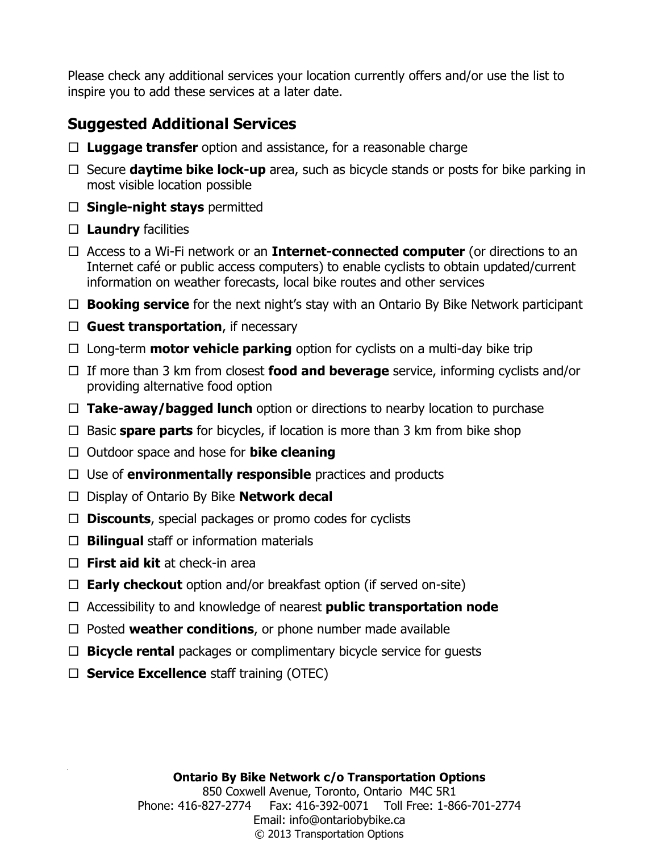### **Suggested Additional Services**

- **Luggage transfer** option and assistance, for a reasonable charge
- $\Box$  Secure **daytime bike lock-up** area, such as bicycle stands or posts for bike parking in most visible location possible
- **Single-night stays** permitted
- $\Box$  **Laundry** facilities
- Access to a Wi-Fi network or an **Internet-connected computer** (or directions to an Internet café or public access computers) to enable cyclists to obtain updated/current information on weather forecasts, local bike routes and other services
- □ **Booking service** for the next night's stay with an Ontario By Bike Network participant
- **Guest transportation**, if necessary
- $\Box$  Long-term **motor vehicle parking** option for cyclists on a multi-day bike trip
- If more than 3 km from closest **food and beverage** service, informing cyclists and/or providing alternative food option
- **Take-away/bagged lunch** option or directions to nearby location to purchase
- □ Basic **spare parts** for bicycles, if location is more than 3 km from bike shop
- □ Outdoor space and hose for **bike cleaning**
- Use of **environmentally responsible** practices and products
- Display of Ontario By Bike **Network decal**
- **Discounts**, special packages or promo codes for cyclists
- □ **Bilingual** staff or information materials
- **First aid kit** at check-in area
- **Early checkout** option and/or breakfast option (if served on-site)
- Accessibility to and knowledge of nearest **public transportation node**
- $\Box$  Posted **weather conditions**, or phone number made available
- **Bicycle rental** packages or complimentary bicycle service for guests
- **Service Excellence** staff training (OTEC)

#### **Ontario By Bike Network c/o Transportation Options**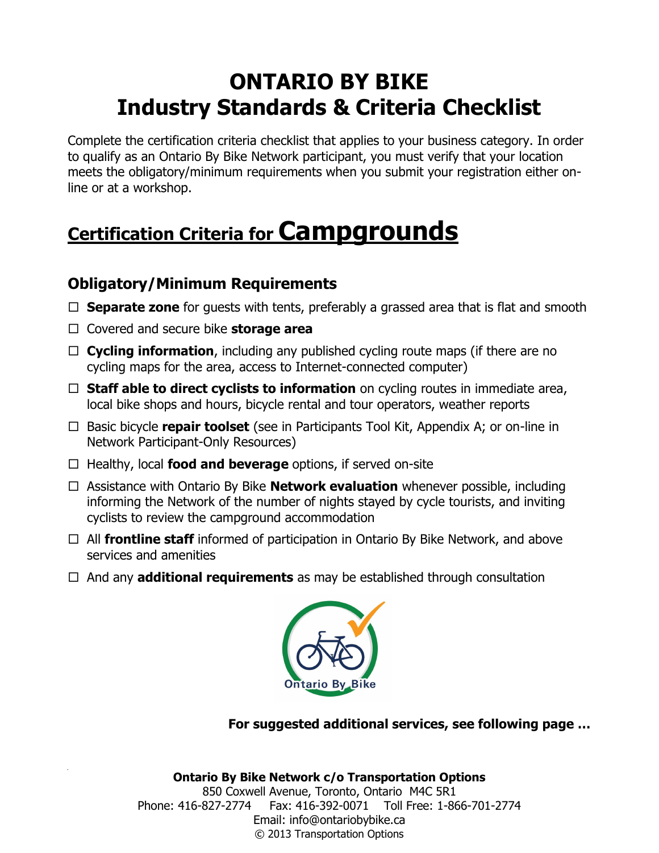Complete the certification criteria checklist that applies to your business category. In order to qualify as an Ontario By Bike Network participant, you must verify that your location meets the obligatory/minimum requirements when you submit your registration either online or at a workshop.

# **Certification Criteria for Campgrounds**

### **Obligatory/Minimum Requirements**

- □ **Separate zone** for guests with tents, preferably a grassed area that is flat and smooth
- Covered and secure bike **storage area**
- **Cycling information**, including any published cycling route maps (if there are no cycling maps for the area, access to Internet-connected computer)
- □ **Staff able to direct cyclists to information** on cycling routes in immediate area, local bike shops and hours, bicycle rental and tour operators, weather reports
- □ Basic bicycle **repair toolset** (see in Participants Tool Kit, Appendix A; or on-line in Network Participant-Only Resources)
- □ Healthy, local **food and beverage** options, if served on-site
- Assistance with Ontario By Bike **Network evaluation** whenever possible, including informing the Network of the number of nights stayed by cycle tourists, and inviting cyclists to review the campground accommodation
- All **frontline staff** informed of participation in Ontario By Bike Network, and above services and amenities
- And any **additional requirements** as may be established through consultation



**For suggested additional services, see following page …**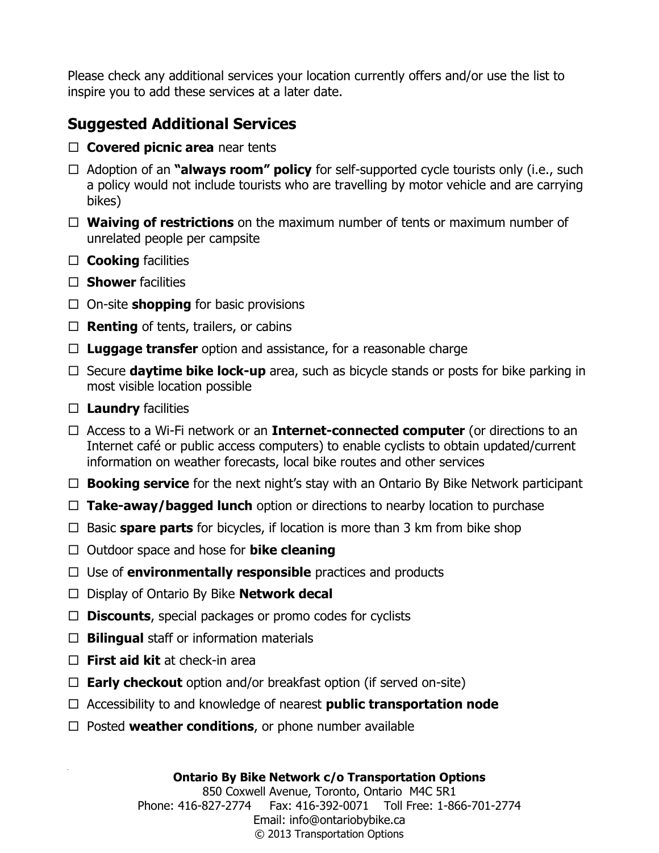### **Suggested Additional Services**

- **Covered picnic area** near tents
- □ Adoption of an **"always room" policy** for self-supported cycle tourists only (i.e., such a policy would not include tourists who are travelling by motor vehicle and are carrying bikes)
- **Waiving of restrictions** on the maximum number of tents or maximum number of unrelated people per campsite
- **Cooking** facilities
- □ **Shower** facilities
- □ On-site **shopping** for basic provisions
- $\Box$  **Renting** of tents, trailers, or cabins
- **Luggage transfer** option and assistance, for a reasonable charge
- $\Box$  Secure **daytime bike lock-up** area, such as bicycle stands or posts for bike parking in most visible location possible
- **Laundry** facilities
- Access to a Wi-Fi network or an **Internet-connected computer** (or directions to an Internet café or public access computers) to enable cyclists to obtain updated/current information on weather forecasts, local bike routes and other services
- **Booking service** for the next night's stay with an Ontario By Bike Network participant
- **Take-away/bagged lunch** option or directions to nearby location to purchase
- $\Box$  Basic **spare parts** for bicycles, if location is more than 3 km from bike shop
- Outdoor space and hose for **bike cleaning**
- $\Box$  Use of **environmentally responsible** practices and products
- Display of Ontario By Bike **Network decal**
- **Discounts**, special packages or promo codes for cyclists
- $\Box$  **Bilingual** staff or information materials
- **First aid kit** at check-in area
- $\Box$  **Early checkout** option and/or breakfast option (if served on-site)
- Accessibility to and knowledge of nearest **public transportation node**
- $\Box$  Posted **weather conditions**, or phone number available

#### **Ontario By Bike Network c/o Transportation Options**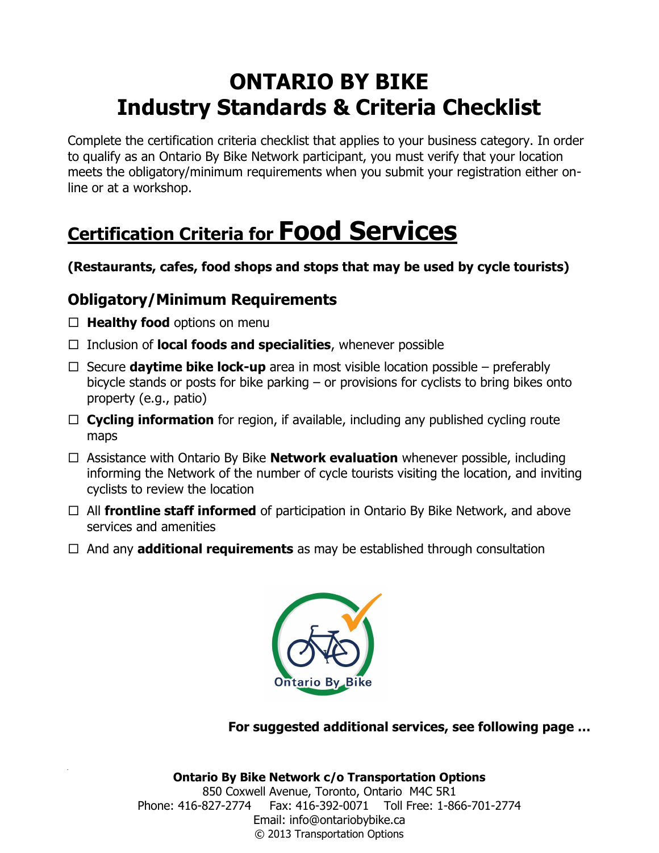Complete the certification criteria checklist that applies to your business category. In order to qualify as an Ontario By Bike Network participant, you must verify that your location meets the obligatory/minimum requirements when you submit your registration either online or at a workshop.

# **Certification Criteria for Food Services**

**(Restaurants, cafes, food shops and stops that may be used by cycle tourists)**

### **Obligatory/Minimum Requirements**

- $\Box$  **Healthy food** options on menu
- Inclusion of **local foods and specialities**, whenever possible
- $\Box$  Secure **daytime bike lock-up** area in most visible location possible preferably bicycle stands or posts for bike parking – or provisions for cyclists to bring bikes onto property (e.g., patio)
- □ **Cycling information** for region, if available, including any published cycling route maps
- Assistance with Ontario By Bike **Network evaluation** whenever possible, including informing the Network of the number of cycle tourists visiting the location, and inviting cyclists to review the location
- All **frontline staff informed** of participation in Ontario By Bike Network, and above services and amenities
- $\Box$  And any **additional requirements** as may be established through consultation



**For suggested additional services, see following page …**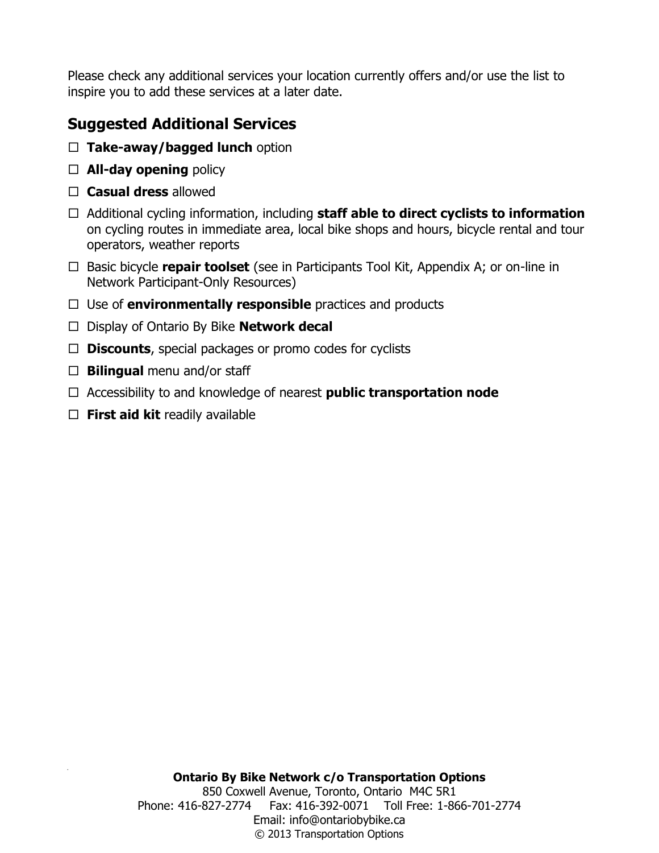### **Suggested Additional Services**

- **Take-away/bagged lunch** option
- **All-day opening** policy
- **Casual dress** allowed
- Additional cycling information, including **staff able to direct cyclists to information** on cycling routes in immediate area, local bike shops and hours, bicycle rental and tour operators, weather reports
- □ Basic bicycle **repair toolset** (see in Participants Tool Kit, Appendix A; or on-line in Network Participant-Only Resources)
- □ Use of **environmentally responsible** practices and products
- Display of Ontario By Bike **Network decal**
- **Discounts**, special packages or promo codes for cyclists
- $\Box$  **Bilingual** menu and/or staff
- Accessibility to and knowledge of nearest **public transportation node**
- **First aid kit** readily available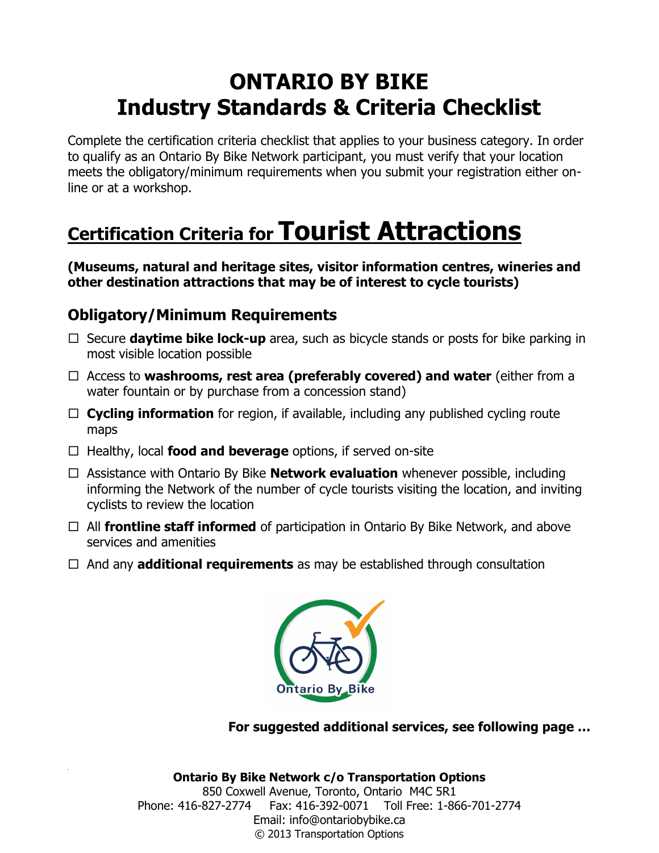Complete the certification criteria checklist that applies to your business category. In order to qualify as an Ontario By Bike Network participant, you must verify that your location meets the obligatory/minimum requirements when you submit your registration either online or at a workshop.

# **Certification Criteria for Tourist Attractions**

**(Museums, natural and heritage sites, visitor information centres, wineries and other destination attractions that may be of interest to cycle tourists)**

### **Obligatory/Minimum Requirements**

- $\Box$  Secure **daytime bike lock-up** area, such as bicycle stands or posts for bike parking in most visible location possible
- Access to **washrooms, rest area (preferably covered) and water** (either from a water fountain or by purchase from a concession stand)
- □ **Cycling information** for region, if available, including any published cycling route maps
- □ Healthy, local **food and beverage** options, if served on-site
- Assistance with Ontario By Bike **Network evaluation** whenever possible, including informing the Network of the number of cycle tourists visiting the location, and inviting cyclists to review the location
- □ All **frontline staff informed** of participation in Ontario By Bike Network, and above services and amenities
- And any **additional requirements** as may be established through consultation



**For suggested additional services, see following page …**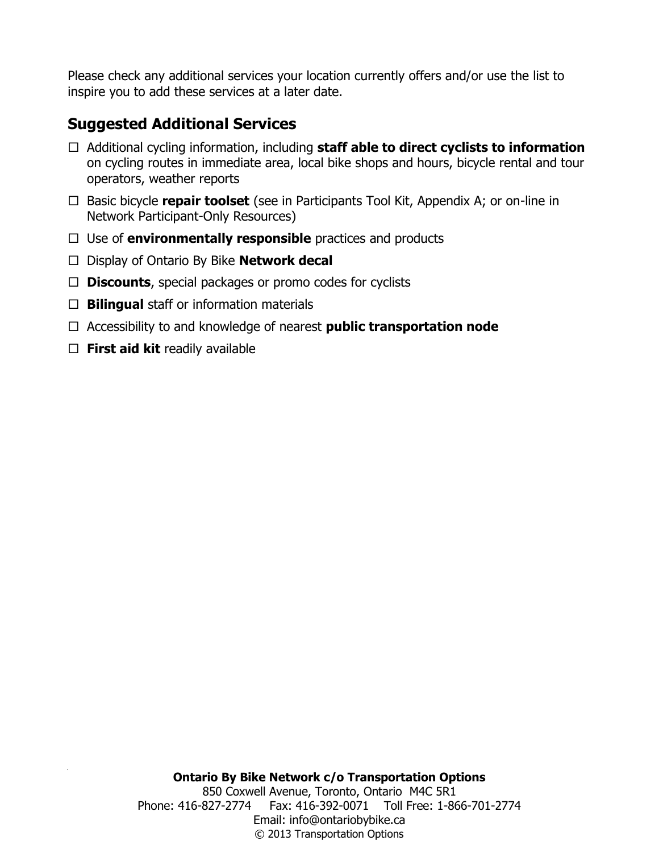### **Suggested Additional Services**

- Additional cycling information, including **staff able to direct cyclists to information** on cycling routes in immediate area, local bike shops and hours, bicycle rental and tour operators, weather reports
- □ Basic bicycle **repair toolset** (see in Participants Tool Kit, Appendix A; or on-line in Network Participant-Only Resources)
- Use of **environmentally responsible** practices and products
- Display of Ontario By Bike **Network decal**
- **Discounts**, special packages or promo codes for cyclists
- **Bilingual** staff or information materials
- Accessibility to and knowledge of nearest **public transportation node**
- **First aid kit** readily available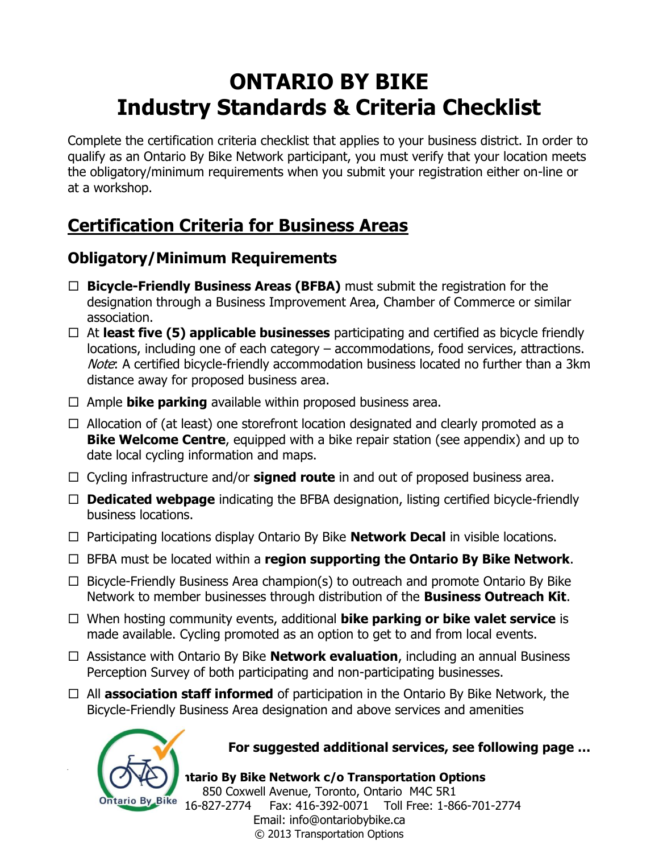Complete the certification criteria checklist that applies to your business district. In order to qualify as an Ontario By Bike Network participant, you must verify that your location meets the obligatory/minimum requirements when you submit your registration either on-line or at a workshop.

### **Certification Criteria for Business Areas**

### **Obligatory/Minimum Requirements**

- **Bicycle-Friendly Business Areas (BFBA)** must submit the registration for the designation through a Business Improvement Area, Chamber of Commerce or similar association.
- At **least five (5) applicable businesses** participating and certified as bicycle friendly locations, including one of each category – accommodations, food services, attractions. Note: A certified bicycle-friendly accommodation business located no further than a 3km distance away for proposed business area.
- $\Box$  Ample **bike parking** available within proposed business area.
- $\Box$  Allocation of (at least) one storefront location designated and clearly promoted as a **Bike Welcome Centre**, equipped with a bike repair station (see appendix) and up to date local cycling information and maps.
- □ Cycling infrastructure and/or **signed route** in and out of proposed business area.
- □ **Dedicated webpage** indicating the BFBA designation, listing certified bicycle-friendly business locations.
- Participating locations display Ontario By Bike **Network Decal** in visible locations.
- BFBA must be located within a **region supporting the Ontario By Bike Network**.
- $\Box$  Bicycle-Friendly Business Area champion(s) to outreach and promote Ontario By Bike Network to member businesses through distribution of the **Business Outreach Kit**.
- When hosting community events, additional **bike parking or bike valet service** is made available. Cycling promoted as an option to get to and from local events.
- Assistance with Ontario By Bike **Network evaluation**, including an annual Business Perception Survey of both participating and non-participating businesses.
- All **association staff informed** of participation in the Ontario By Bike Network, the Bicycle-Friendly Business Area designation and above services and amenities



#### **For suggested additional services, see following page …**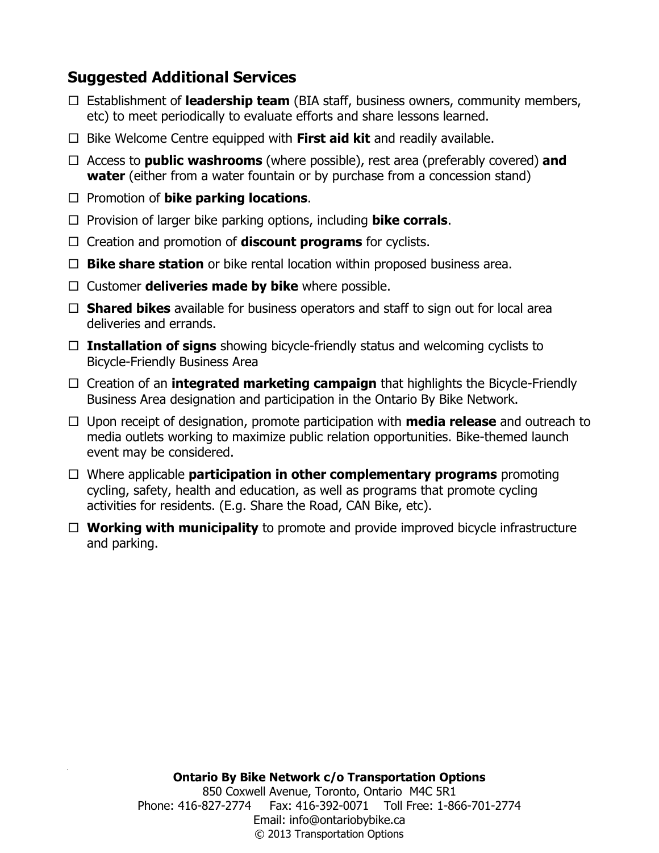### **Suggested Additional Services**

- Establishment of **leadership team** (BIA staff, business owners, community members, etc) to meet periodically to evaluate efforts and share lessons learned.
- $\Box$  Bike Welcome Centre equipped with **First aid kit** and readily available.
- Access to **public washrooms** (where possible), rest area (preferably covered) **and water** (either from a water fountain or by purchase from a concession stand)
- □ Promotion of **bike parking locations**.
- Provision of larger bike parking options, including **bike corrals**.
- Creation and promotion of **discount programs** for cyclists.
- □ **Bike share station** or bike rental location within proposed business area.
- □ Customer **deliveries made by bike** where possible.
- □ **Shared bikes** available for business operators and staff to sign out for local area deliveries and errands.
- **Installation of signs** showing bicycle-friendly status and welcoming cyclists to Bicycle-Friendly Business Area
- Creation of an **integrated marketing campaign** that highlights the Bicycle-Friendly Business Area designation and participation in the Ontario By Bike Network.
- Upon receipt of designation, promote participation with **media release** and outreach to media outlets working to maximize public relation opportunities. Bike-themed launch event may be considered.
- Where applicable **participation in other complementary programs** promoting cycling, safety, health and education, as well as programs that promote cycling activities for residents. (E.g. Share the Road, CAN Bike, etc).
- **Working with municipality** to promote and provide improved bicycle infrastructure and parking.